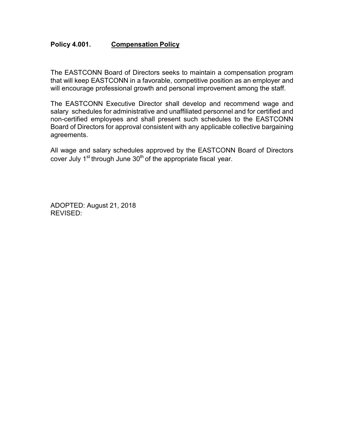## **Policy 4.001. Compensation Policy**

The EASTCONN Board of Directors seeks to maintain a compensation program that will keep EASTCONN in a favorable, competitive position as an employer and will encourage professional growth and personal improvement among the staff.

The EASTCONN Executive Director shall develop and recommend wage and salary schedules for administrative and unaffiliated personnel and for certified and non-certified employees and shall present such schedules to the EASTCONN Board of Directors for approval consistent with any applicable collective bargaining agreements.

All wage and salary schedules approved by the EASTCONN Board of Directors cover July  $1<sup>st</sup>$  through June  $30<sup>th</sup>$  of the appropriate fiscal year.

ADOPTED: August 21, 2018 REVISED: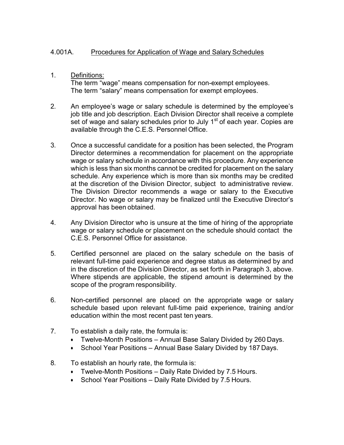## 4.001A. Procedures for Application of Wage and Salary Schedules

## 1. Definitions:

The term "wage" means compensation for non-exempt employees. The term "salary" means compensation for exempt employees.

- 2. An employee's wage or salary schedule is determined by the employee's job title and job description. Each Division Director shall receive a complete set of wage and salary schedules prior to July  $1<sup>st</sup>$  of each year. Copies are available through the C.E.S. Personnel Office.
- 3. Once a successful candidate for a position has been selected, the Program Director determines a recommendation for placement on the appropriate wage or salary schedule in accordance with this procedure. Any experience which is less than six months cannot be credited for placement on the salary schedule. Any experience which is more than six months may be credited at the discretion of the Division Director, subject to administrative review. The Division Director recommends a wage or salary to the Executive Director. No wage or salary may be finalized until the Executive Director's approval has been obtained.
- 4. Any Division Director who is unsure at the time of hiring of the appropriate wage or salary schedule or placement on the schedule should contact the C.E.S. Personnel Office for assistance.
- 5. Certified personnel are placed on the salary schedule on the basis of relevant full-time paid experience and degree status as determined by and in the discretion of the Division Director, as set forth in Paragraph 3, above. Where stipends are applicable, the stipend amount is determined by the scope of the program responsibility.
- 6. Non-certified personnel are placed on the appropriate wage or salary schedule based upon relevant full-time paid experience, training and/or education within the most recent past ten years.
- 7. To establish a daily rate, the formula is:
	- Twelve-Month Positions Annual Base Salary Divided by 260 Days.
	- School Year Positions Annual Base Salary Divided by 187 Days.
- 8. To establish an hourly rate, the formula is:
	- Twelve-Month Positions Daily Rate Divided by 7.5 Hours.
	- School Year Positions Daily Rate Divided by 7.5 Hours.